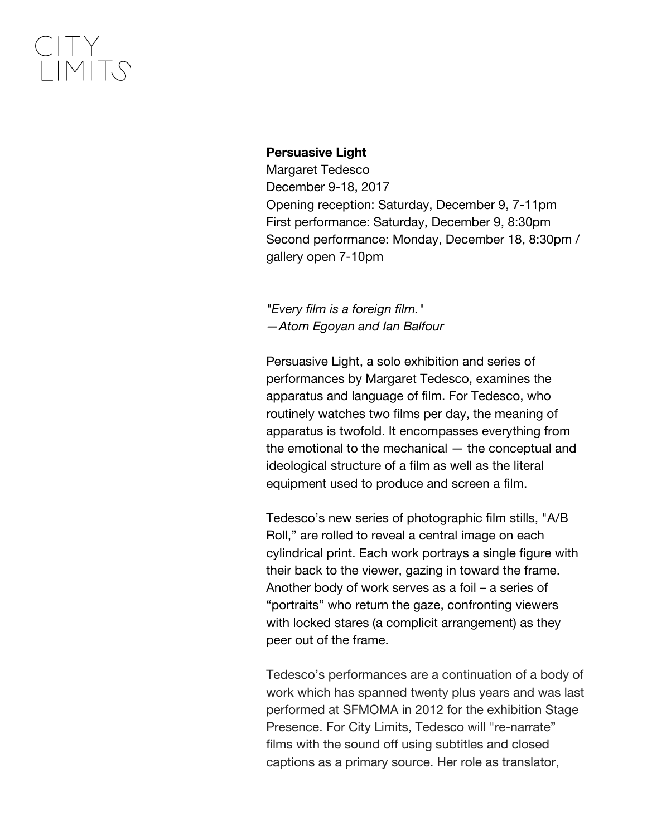## uily<br>I IMIT.S

## **Persuasive Light**

Margaret Tedesco December 9-18, 2017 Opening reception: Saturday, December 9, 7-11pm First performance: Saturday, December 9, 8:30pm Second performance: Monday, December 18, 8:30pm / gallery open 7-10pm

## *"Every film is a foreign film." —Atom Egoyan and Ian Balfour*

Persuasive Light, a solo exhibition and series of performances by Margaret Tedesco, examines the apparatus and language of film. For Tedesco, who routinely watches two films per day, the meaning of apparatus is twofold. It encompasses everything from the emotional to the mechanical — the conceptual and ideological structure of a film as well as the literal equipment used to produce and screen a film.

Tedesco's new series of photographic film stills, "A/B Roll," are rolled to reveal a central image on each cylindrical print. Each work portrays a single figure with their back to the viewer, gazing in toward the frame. Another body of work serves as a foil – a series of "portraits" who return the gaze, confronting viewers with locked stares (a complicit arrangement) as they peer out of the frame.

Tedesco's performances are a continuation of a body of work which has spanned twenty plus years and was last performed at SFMOMA in 2012 for the exhibition Stage Presence. For City Limits, Tedesco will "re-narrate" films with the sound off using subtitles and closed captions as a primary source. Her role as translator,